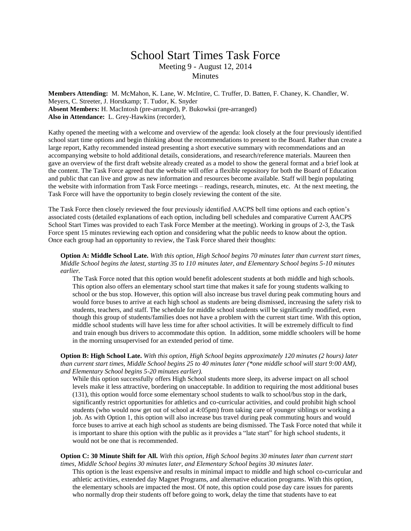## School Start Times Task Force Meeting 9 - August 12, 2014 **Minutes**

**Members Attending:** M. McMahon, K. Lane, W. McIntire, C. Truffer, D. Batten, F. Chaney, K. Chandler, W. Meyers, C. Streeter, J. Horstkamp; T. Tudor, K. Snyder **Absent Members:** H. MacIntosh (pre-arranged), P. Bukowksi (pre-arranged) **Also in Attendance:** L. Grey-Hawkins (recorder),

Kathy opened the meeting with a welcome and overview of the agenda: look closely at the four previously identified school start time options and begin thinking about the recommendations to present to the Board. Rather than create a large report, Kathy recommended instead presenting a short executive summary with recommendations and an accompanying website to hold additional details, considerations, and research/reference materials. Maureen then gave an overview of the first draft website already created as a model to show the general format and a brief look at the content. The Task Force agreed that the website will offer a flexible repository for both the Board of Education and public that can live and grow as new information and resources become available. Staff will begin populating the website with information from Task Force meetings – readings, research, minutes, etc. At the next meeting, the Task Force will have the opportunity to begin closely reviewing the content of the site.

The Task Force then closely reviewed the four previously identified AACPS bell time options and each option's associated costs (detailed explanations of each option, including bell schedules and comparative Current AACPS School Start Times was provided to each Task Force Member at the meeting). Working in groups of 2-3, the Task Force spent 15 minutes reviewing each option and considering what the public needs to know about the option. Once each group had an opportunity to review, the Task Force shared their thoughts:

**Option A: Middle School Late.** *With this option, High School begins 70 minutes later than current start times, Middle School begins the latest, starting 35 to 110 minutes later, and Elementary School begins 5-10 minutes earlier.*

The Task Force noted that this option would benefit adolescent students at both middle and high schools. This option also offers an elementary school start time that makes it safe for young students walking to school or the bus stop. However, this option will also increase bus travel during peak commuting hours and would force buses to arrive at each high school as students are being dismissed, increasing the safety risk to students, teachers, and staff. The schedule for middle school students will be significantly modified, even though this group of students/families does not have a problem with the current start time. With this option, middle school students will have less time for after school activities. It will be extremely difficult to find and train enough bus drivers to accommodate this option. In addition, some middle schoolers will be home in the morning unsupervised for an extended period of time.

## **Option B: High School Late.** *With this option, High School begins approximately 120 minutes (2 hours) later than current start times, Middle School begins 25 to 40 minutes later (\*one middle school will start 9:00 AM), and Elementary School begins 5-20 minutes earlier).*

While this option successfully offers High School students more sleep, its adverse impact on all school levels make it less attractive, bordering on unacceptable. In addition to requiring the most additional buses (131), this option would force some elementary school students to walk to school/bus stop in the dark, significantly restrict opportunities for athletics and co-curricular activities, and could prohibit high school students (who would now get out of school at 4:05pm) from taking care of younger siblings or working a job. As with Option 1, this option will also increase bus travel during peak commuting hours and would force buses to arrive at each high school as students are being dismissed. The Task Force noted that while it is important to share this option with the public as it provides a "late start" for high school students, it would not be one that is recommended.

**Option C: 30 Minute Shift for All.** *With this option, High School begins 30 minutes later than current start times, Middle School begins 30 minutes later, and Elementary School begins 30 minutes later.*

This option is the least expensive and results in minimal impact to middle and high school co-curricular and athletic activities, extended day Magnet Programs, and alternative education programs. With this option, the elementary schools are impacted the most. Of note, this option could pose day care issues for parents who normally drop their students off before going to work, delay the time that students have to eat